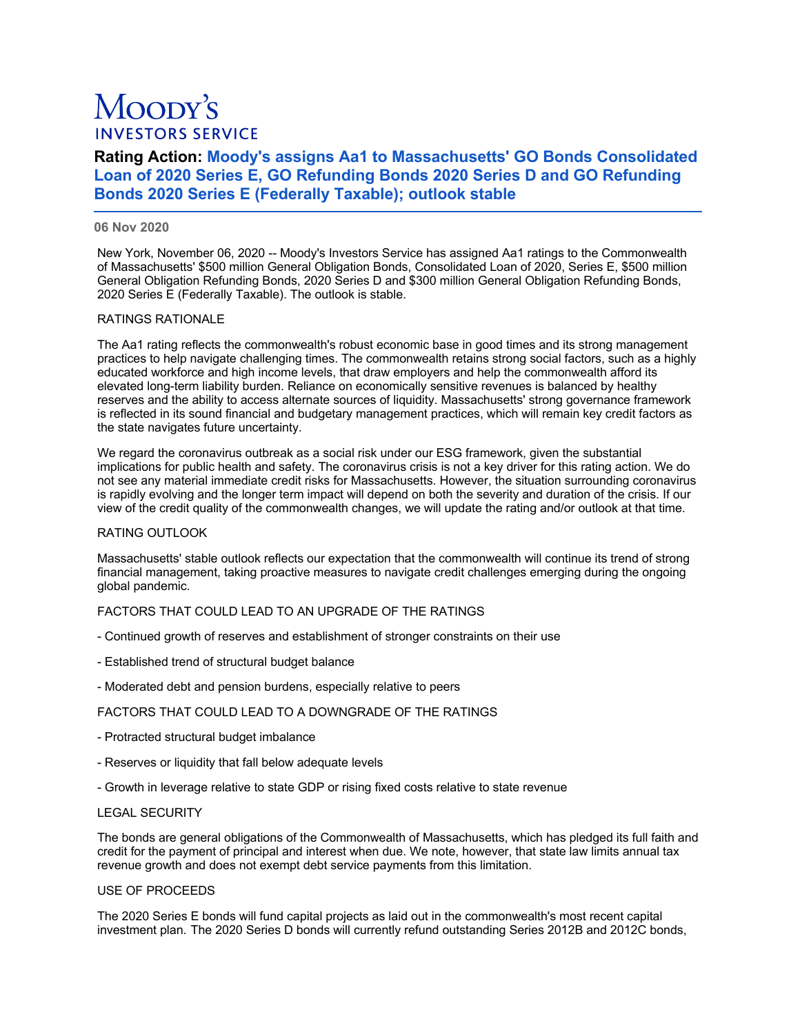# Moopy's **INVESTORS SERVICE**

**Rating Action: Moody's assigns Aa1 to Massachusetts' GO Bonds Consolidated Loan of 2020 Series E, GO Refunding Bonds 2020 Series D and GO Refunding Bonds 2020 Series E (Federally Taxable); outlook stable**

## **06 Nov 2020**

New York, November 06, 2020 -- Moody's Investors Service has assigned Aa1 ratings to the Commonwealth of Massachusetts' \$500 million General Obligation Bonds, Consolidated Loan of 2020, Series E, \$500 million General Obligation Refunding Bonds, 2020 Series D and \$300 million General Obligation Refunding Bonds, 2020 Series E (Federally Taxable). The outlook is stable.

# RATINGS RATIONALE

The Aa1 rating reflects the commonwealth's robust economic base in good times and its strong management practices to help navigate challenging times. The commonwealth retains strong social factors, such as a highly educated workforce and high income levels, that draw employers and help the commonwealth afford its elevated long-term liability burden. Reliance on economically sensitive revenues is balanced by healthy reserves and the ability to access alternate sources of liquidity. Massachusetts' strong governance framework is reflected in its sound financial and budgetary management practices, which will remain key credit factors as the state navigates future uncertainty.

We regard the coronavirus outbreak as a social risk under our ESG framework, given the substantial implications for public health and safety. The coronavirus crisis is not a key driver for this rating action. We do not see any material immediate credit risks for Massachusetts. However, the situation surrounding coronavirus is rapidly evolving and the longer term impact will depend on both the severity and duration of the crisis. If our view of the credit quality of the commonwealth changes, we will update the rating and/or outlook at that time.

## RATING OUTLOOK

Massachusetts' stable outlook reflects our expectation that the commonwealth will continue its trend of strong financial management, taking proactive measures to navigate credit challenges emerging during the ongoing global pandemic.

## FACTORS THAT COULD LEAD TO AN UPGRADE OF THE RATINGS

- Continued growth of reserves and establishment of stronger constraints on their use
- Established trend of structural budget balance
- Moderated debt and pension burdens, especially relative to peers

## FACTORS THAT COULD LEAD TO A DOWNGRADE OF THE RATINGS

- Protracted structural budget imbalance
- Reserves or liquidity that fall below adequate levels
- Growth in leverage relative to state GDP or rising fixed costs relative to state revenue

## LEGAL SECURITY

The bonds are general obligations of the Commonwealth of Massachusetts, which has pledged its full faith and credit for the payment of principal and interest when due. We note, however, that state law limits annual tax revenue growth and does not exempt debt service payments from this limitation.

## USE OF PROCEEDS

The 2020 Series E bonds will fund capital projects as laid out in the commonwealth's most recent capital investment plan. The 2020 Series D bonds will currently refund outstanding Series 2012B and 2012C bonds,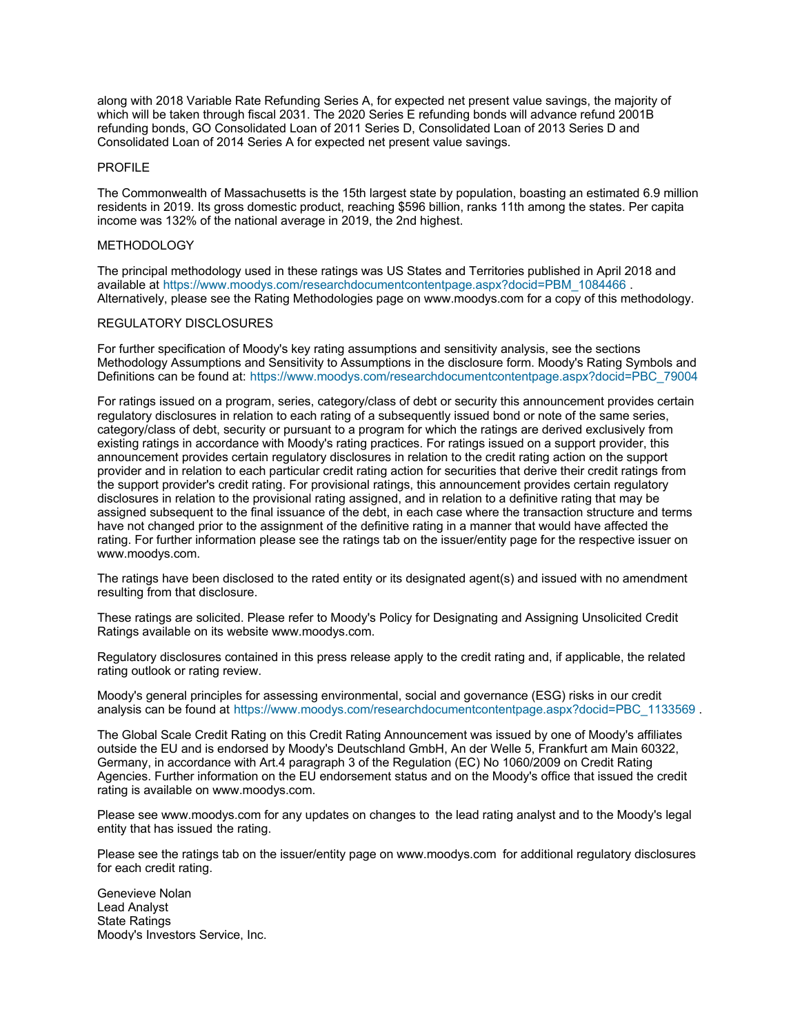along with 2018 Variable Rate Refunding Series A, for expected net present value savings, the majority of which will be taken through fiscal 2031. The 2020 Series E refunding bonds will advance refund 2001B refunding bonds, GO Consolidated Loan of 2011 Series D, Consolidated Loan of 2013 Series D and Consolidated Loan of 2014 Series A for expected net present value savings.

#### PROFILE

The Commonwealth of Massachusetts is the 15th largest state by population, boasting an estimated 6.9 million residents in 2019. Its gross domestic product, reaching \$596 billion, ranks 11th among the states. Per capita income was 132% of the national average in 2019, the 2nd highest.

#### METHODOLOGY

The principal methodology used in these ratings was US States and Territories published in April 2018 and available at [https://www.moodys.com/researchdocumentcontentpage.aspx?docid=PBM\\_1084466](https://www.moodys.com/researchdocumentcontentpage.aspx?docid=PBM_1084466) . Alternatively, please see the Rating Methodologies page on www.moodys.com for a copy of this methodology.

## REGULATORY DISCLOSURES

For further specification of Moody's key rating assumptions and sensitivity analysis, see the sections Methodology Assumptions and Sensitivity to Assumptions in the disclosure form. Moody's Rating Symbols and Definitions can be found at: [https://www.moodys.com/researchdocumentcontentpage.aspx?docid=PBC\\_79004](https://www.moodys.com/researchdocumentcontentpage.aspx?docid=PBC_79004)

For ratings issued on a program, series, category/class of debt or security this announcement provides certain regulatory disclosures in relation to each rating of a subsequently issued bond or note of the same series, category/class of debt, security or pursuant to a program for which the ratings are derived exclusively from existing ratings in accordance with Moody's rating practices. For ratings issued on a support provider, this announcement provides certain regulatory disclosures in relation to the credit rating action on the support provider and in relation to each particular credit rating action for securities that derive their credit ratings from the support provider's credit rating. For provisional ratings, this announcement provides certain regulatory disclosures in relation to the provisional rating assigned, and in relation to a definitive rating that may be assigned subsequent to the final issuance of the debt, in each case where the transaction structure and terms have not changed prior to the assignment of the definitive rating in a manner that would have affected the rating. For further information please see the ratings tab on the issuer/entity page for the respective issuer on www.moodys.com.

The ratings have been disclosed to the rated entity or its designated agent(s) and issued with no amendment resulting from that disclosure.

These ratings are solicited. Please refer to Moody's Policy for Designating and Assigning Unsolicited Credit Ratings available on its website www.moodys.com.

Regulatory disclosures contained in this press release apply to the credit rating and, if applicable, the related rating outlook or rating review.

Moody's general principles for assessing environmental, social and governance (ESG) risks in our credit analysis can be found at [https://www.moodys.com/researchdocumentcontentpage.aspx?docid=PBC\\_1133569](https://www.moodys.com/researchdocumentcontentpage.aspx?docid=PBC_1133569).

The Global Scale Credit Rating on this Credit Rating Announcement was issued by one of Moody's affiliates outside the EU and is endorsed by Moody's Deutschland GmbH, An der Welle 5, Frankfurt am Main 60322, Germany, in accordance with Art.4 paragraph 3 of the Regulation (EC) No 1060/2009 on Credit Rating Agencies. Further information on the EU endorsement status and on the Moody's office that issued the credit rating is available on www.moodys.com.

Please see www.moodys.com for any updates on changes to the lead rating analyst and to the Moody's legal entity that has issued the rating.

Please see the ratings tab on the issuer/entity page on www.moodys.com for additional regulatory disclosures for each credit rating.

Genevieve Nolan Lead Analyst State Ratings Moody's Investors Service, Inc.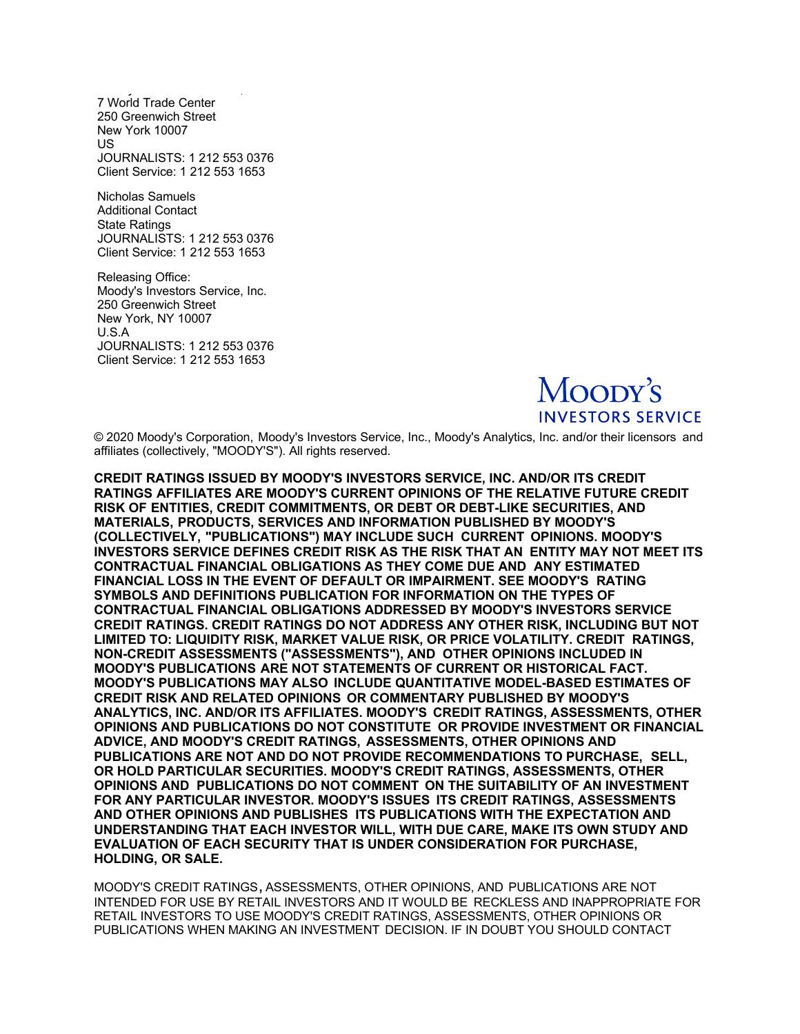7 World Trade Center 250 Greenwich Street New York 10007 US JOURNALISTS: 1 212 553 0376 Client Service: 1 212 553 1653

Moody's Investors Service, Inc.

Nicholas Samuels Additional Contact State Ratings JOURNALISTS: 1 212 553 0376 Client Service: 1 212 553 1653

Releasing Office: Moody's Investors Service, Inc. 250 Greenwich Street New York, NY 10007 U.S.A JOURNALISTS: 1 212 553 0376 Client Service: 1 212 553 1653

© 2020 Moody's Corporation, Moody's Investors Service, Inc., Moody's Analytics, Inc. and/or their licensors and affiliates (collectively, "MOODY'S"). All rights reserved.

Moopy's

**INVESTORS SERVICE** 

**CREDIT RATINGS ISSUED BY MOODY'S INVESTORS SERVICE, INC. AND/OR ITS CREDIT RATINGS AFFILIATES ARE MOODY'S CURRENT OPINIONS OF THE RELATIVE FUTURE CREDIT RISK OF ENTITIES, CREDIT COMMITMENTS, OR DEBT OR DEBT-LIKE SECURITIES, AND MATERIALS, PRODUCTS, SERVICES AND INFORMATION PUBLISHED BY MOODY'S (COLLECTIVELY, "PUBLICATIONS") MAY INCLUDE SUCH CURRENT OPINIONS. MOODY'S INVESTORS SERVICE DEFINES CREDIT RISK AS THE RISK THAT AN ENTITY MAY NOT MEET ITS CONTRACTUAL FINANCIAL OBLIGATIONS AS THEY COME DUE AND ANY ESTIMATED FINANCIAL LOSS IN THE EVENT OF DEFAULT OR IMPAIRMENT. SEE MOODY'S RATING SYMBOLS AND DEFINITIONS PUBLICATION FOR INFORMATION ON THE TYPES OF CONTRACTUAL FINANCIAL OBLIGATIONS ADDRESSED BY MOODY'S INVESTORS SERVICE CREDIT RATINGS. CREDIT RATINGS DO NOT ADDRESS ANY OTHER RISK, INCLUDING BUT NOT LIMITED TO: LIQUIDITY RISK, MARKET VALUE RISK, OR PRICE VOLATILITY. CREDIT RATINGS, NON-CREDIT ASSESSMENTS ("ASSESSMENTS"), AND OTHER OPINIONS INCLUDED IN MOODY'S PUBLICATIONS ARE NOT STATEMENTS OF CURRENT OR HISTORICAL FACT. MOODY'S PUBLICATIONS MAY ALSO INCLUDE QUANTITATIVE MODEL-BASED ESTIMATES OF CREDIT RISK AND RELATED OPINIONS OR COMMENTARY PUBLISHED BY MOODY'S ANALYTICS, INC. AND/OR ITS AFFILIATES. MOODY'S CREDIT RATINGS, ASSESSMENTS, OTHER OPINIONS AND PUBLICATIONS DO NOT CONSTITUTE OR PROVIDE INVESTMENT OR FINANCIAL ADVICE, AND MOODY'S CREDIT RATINGS, ASSESSMENTS, OTHER OPINIONS AND PUBLICATIONS ARE NOT AND DO NOT PROVIDE RECOMMENDATIONS TO PURCHASE, SELL, OR HOLD PARTICULAR SECURITIES. MOODY'S CREDIT RATINGS, ASSESSMENTS, OTHER OPINIONS AND PUBLICATIONS DO NOT COMMENT ON THE SUITABILITY OF AN INVESTMENT FOR ANY PARTICULAR INVESTOR. MOODY'S ISSUES ITS CREDIT RATINGS, ASSESSMENTS AND OTHER OPINIONS AND PUBLISHES ITS PUBLICATIONS WITH THE EXPECTATION AND UNDERSTANDING THAT EACH INVESTOR WILL, WITH DUE CARE, MAKE ITS OWN STUDY AND EVALUATION OF EACH SECURITY THAT IS UNDER CONSIDERATION FOR PURCHASE, HOLDING, OR SALE.** 

MOODY'S CREDIT RATINGS**,** ASSESSMENTS, OTHER OPINIONS, AND PUBLICATIONS ARE NOT INTENDED FOR USE BY RETAIL INVESTORS AND IT WOULD BE RECKLESS AND INAPPROPRIATE FOR RETAIL INVESTORS TO USE MOODY'S CREDIT RATINGS, ASSESSMENTS, OTHER OPINIONS OR PUBLICATIONS WHEN MAKING AN INVESTMENT DECISION. IF IN DOUBT YOU SHOULD CONTACT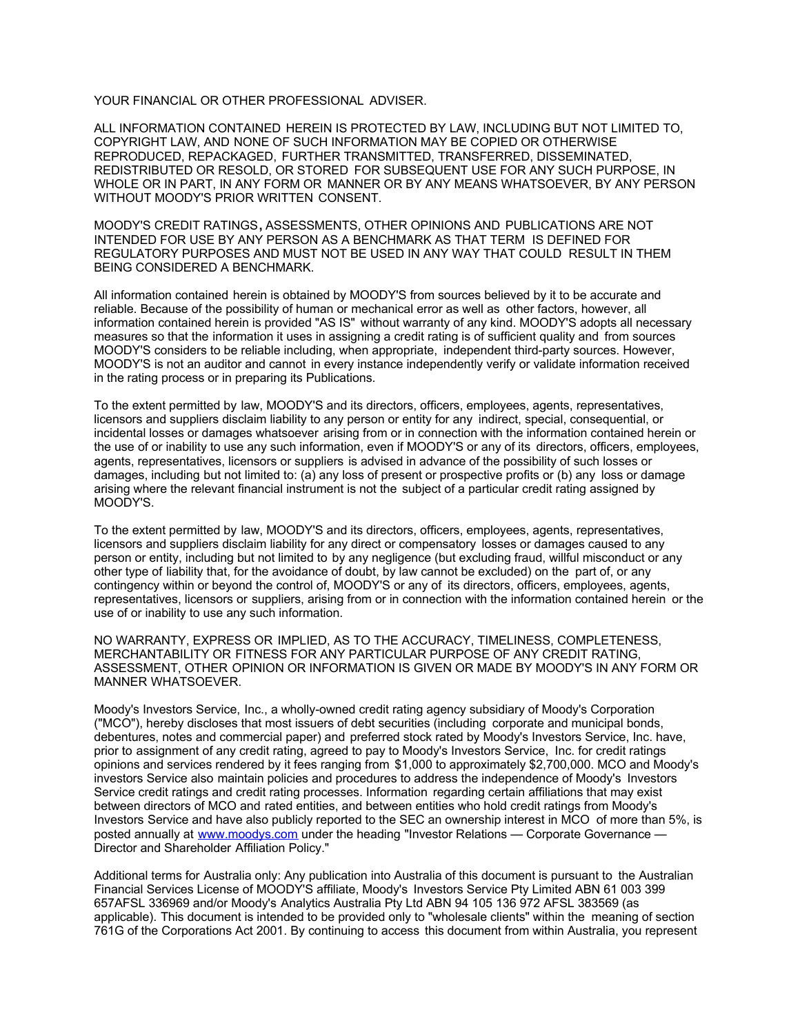YOUR FINANCIAL OR OTHER PROFESSIONAL ADVISER.

ALL INFORMATION CONTAINED HEREIN IS PROTECTED BY LAW, INCLUDING BUT NOT LIMITED TO, COPYRIGHT LAW, AND NONE OF SUCH INFORMATION MAY BE COPIED OR OTHERWISE REPRODUCED, REPACKAGED, FURTHER TRANSMITTED, TRANSFERRED, DISSEMINATED, REDISTRIBUTED OR RESOLD, OR STORED FOR SUBSEQUENT USE FOR ANY SUCH PURPOSE, IN WHOLE OR IN PART, IN ANY FORM OR MANNER OR BY ANY MEANS WHATSOEVER, BY ANY PERSON WITHOUT MOODY'S PRIOR WRITTEN CONSENT.

MOODY'S CREDIT RATINGS**,** ASSESSMENTS, OTHER OPINIONS AND PUBLICATIONS ARE NOT INTENDED FOR USE BY ANY PERSON AS A BENCHMARK AS THAT TERM IS DEFINED FOR REGULATORY PURPOSES AND MUST NOT BE USED IN ANY WAY THAT COULD RESULT IN THEM BEING CONSIDERED A BENCHMARK.

All information contained herein is obtained by MOODY'S from sources believed by it to be accurate and reliable. Because of the possibility of human or mechanical error as well as other factors, however, all information contained herein is provided "AS IS" without warranty of any kind. MOODY'S adopts all necessary measures so that the information it uses in assigning a credit rating is of sufficient quality and from sources MOODY'S considers to be reliable including, when appropriate, independent third-party sources. However, MOODY'S is not an auditor and cannot in every instance independently verify or validate information received in the rating process or in preparing its Publications.

To the extent permitted by law, MOODY'S and its directors, officers, employees, agents, representatives, licensors and suppliers disclaim liability to any person or entity for any indirect, special, consequential, or incidental losses or damages whatsoever arising from or in connection with the information contained herein or the use of or inability to use any such information, even if MOODY'S or any of its directors, officers, employees, agents, representatives, licensors or suppliers is advised in advance of the possibility of such losses or damages, including but not limited to: (a) any loss of present or prospective profits or (b) any loss or damage arising where the relevant financial instrument is not the subject of a particular credit rating assigned by MOODY'S.

To the extent permitted by law, MOODY'S and its directors, officers, employees, agents, representatives, licensors and suppliers disclaim liability for any direct or compensatory losses or damages caused to any person or entity, including but not limited to by any negligence (but excluding fraud, willful misconduct or any other type of liability that, for the avoidance of doubt, by law cannot be excluded) on the part of, or any contingency within or beyond the control of, MOODY'S or any of its directors, officers, employees, agents, representatives, licensors or suppliers, arising from or in connection with the information contained herein or the use of or inability to use any such information.

NO WARRANTY, EXPRESS OR IMPLIED, AS TO THE ACCURACY, TIMELINESS, COMPLETENESS, MERCHANTABILITY OR FITNESS FOR ANY PARTICULAR PURPOSE OF ANY CREDIT RATING, ASSESSMENT, OTHER OPINION OR INFORMATION IS GIVEN OR MADE BY MOODY'S IN ANY FORM OR MANNER WHATSOEVER.

Moody's Investors Service, Inc., a wholly-owned credit rating agency subsidiary of Moody's Corporation ("MCO"), hereby discloses that most issuers of debt securities (including corporate and municipal bonds, debentures, notes and commercial paper) and preferred stock rated by Moody's Investors Service, Inc. have, prior to assignment of any credit rating, agreed to pay to Moody's Investors Service, Inc. for credit ratings opinions and services rendered by it fees ranging from \$1,000 to approximately \$2,700,000. MCO and Moody's investors Service also maintain policies and procedures to address the independence of Moody's Investors Service credit ratings and credit rating processes. Information regarding certain affiliations that may exist between directors of MCO and rated entities, and between entities who hold credit ratings from Moody's Investors Service and have also publicly reported to the SEC an ownership interest in MCO of more than 5%, is posted annually at [www.moodys.com](http://www.moodys.com/) under the heading "Investor Relations — Corporate Governance — Director and Shareholder Affiliation Policy."

Additional terms for Australia only: Any publication into Australia of this document is pursuant to the Australian Financial Services License of MOODY'S affiliate, Moody's Investors Service Pty Limited ABN 61 003 399 657AFSL 336969 and/or Moody's Analytics Australia Pty Ltd ABN 94 105 136 972 AFSL 383569 (as applicable). This document is intended to be provided only to "wholesale clients" within the meaning of section 761G of the Corporations Act 2001. By continuing to access this document from within Australia, you represent